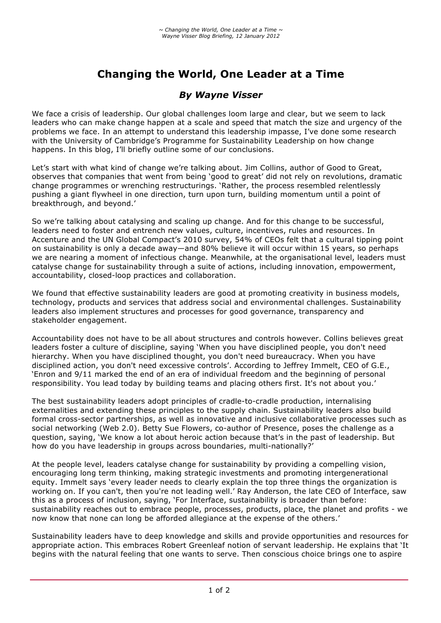# **Changing the World, One Leader at a Time**

## *By Wayne Visser*

We face a crisis of leadership. Our global challenges loom large and clear, but we seem to lack leaders who can make change happen at a scale and speed that match the size and urgency of the problems we face. In an attempt to understand this leadership impasse, I've done some research with the University of Cambridge's Programme for Sustainability Leadership on how change happens. In this blog, I'll briefly outline some of our conclusions.

Let's start with what kind of change we're talking about. Jim Collins, author of Good to Great, observes that companies that went from being 'good to great' did not rely on revolutions, dramatic change programmes or wrenching restructurings. 'Rather, the process resembled relentlessly pushing a giant flywheel in one direction, turn upon turn, building momentum until a point of breakthrough, and beyond.'

So we're talking about catalysing and scaling up change. And for this change to be successful, leaders need to foster and entrench new values, culture, incentives, rules and resources. In Accenture and the UN Global Compact's 2010 survey, 54% of CEOs felt that a cultural tipping point on sustainability is only a decade away—and 80% believe it will occur within 15 years, so perhaps we are nearing a moment of infectious change. Meanwhile, at the organisational level, leaders must catalyse change for sustainability through a suite of actions, including innovation, empowerment, accountability, closed-loop practices and collaboration.

We found that effective sustainability leaders are good at promoting creativity in business models, technology, products and services that address social and environmental challenges. Sustainability leaders also implement structures and processes for good governance, transparency and stakeholder engagement.

Accountability does not have to be all about structures and controls however. Collins believes great leaders foster a culture of discipline, saying 'When you have disciplined people, you don't need hierarchy. When you have disciplined thought, you don't need bureaucracy. When you have disciplined action, you don't need excessive controls'. According to Jeffrey Immelt, CEO of G.E., 'Enron and 9/11 marked the end of an era of individual freedom and the beginning of personal responsibility. You lead today by building teams and placing others first. It's not about you.'

The best sustainability leaders adopt principles of cradle-to-cradle production, internalising externalities and extending these principles to the supply chain. Sustainability leaders also build formal cross-sector partnerships, as well as innovative and inclusive collaborative processes such as social networking (Web 2.0). Betty Sue Flowers, co-author of Presence, poses the challenge as a question, saying, 'We know a lot about heroic action because that's in the past of leadership. But how do you have leadership in groups across boundaries, multi-nationally?'

At the people level, leaders catalyse change for sustainability by providing a compelling vision, encouraging long term thinking, making strategic investments and promoting intergenerational equity. Immelt says 'every leader needs to clearly explain the top three things the organization is working on. If you can't, then you're not leading well.' Ray Anderson, the late CEO of Interface, saw this as a process of inclusion, saying, 'For Interface, sustainability is broader than before: sustainability reaches out to embrace people, processes, products, place, the planet and profits - we now know that none can long be afforded allegiance at the expense of the others.'

Sustainability leaders have to deep knowledge and skills and provide opportunities and resources for appropriate action. This embraces Robert Greenleaf notion of servant leadership. He explains that 'It begins with the natural feeling that one wants to serve. Then conscious choice brings one to aspire